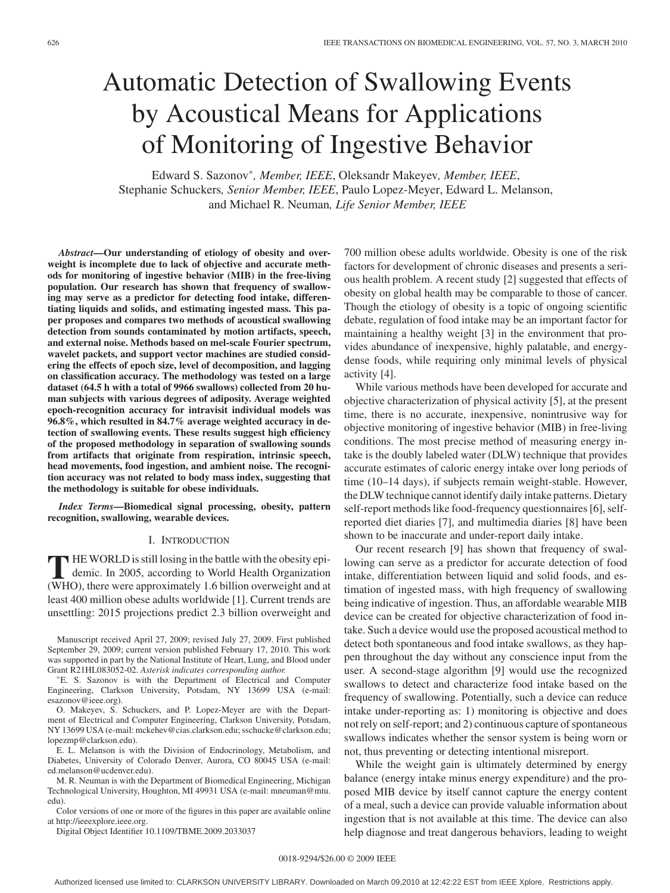# Automatic Detection of Swallowing Events by Acoustical Means for Applications of Monitoring of Ingestive Behavior

Edward S. Sazonov<sup>∗</sup>*, Member, IEEE*, Oleksandr Makeyev*, Member, IEEE*, Stephanie Schuckers*, Senior Member, IEEE*, Paulo Lopez-Meyer, Edward L. Melanson, and Michael R. Neuman*, Life Senior Member, IEEE*

*Abstract***—Our understanding of etiology of obesity and overweight is incomplete due to lack of objective and accurate methods for monitoring of ingestive behavior (MIB) in the free-living population. Our research has shown that frequency of swallowing may serve as a predictor for detecting food intake, differentiating liquids and solids, and estimating ingested mass. This paper proposes and compares two methods of acoustical swallowing detection from sounds contaminated by motion artifacts, speech, and external noise. Methods based on mel-scale Fourier spectrum, wavelet packets, and support vector machines are studied considering the effects of epoch size, level of decomposition, and lagging on classification accuracy. The methodology was tested on a large dataset (64.5 h with a total of 9966 swallows) collected from 20 human subjects with various degrees of adiposity. Average weighted epoch-recognition accuracy for intravisit individual models was 96.8%, which resulted in 84.7% average weighted accuracy in detection of swallowing events. These results suggest high efficiency of the proposed methodology in separation of swallowing sounds from artifacts that originate from respiration, intrinsic speech, head movements, food ingestion, and ambient noise. The recognition accuracy was not related to body mass index, suggesting that the methodology is suitable for obese individuals.**

*Index Terms***—Biomedical signal processing, obesity, pattern recognition, swallowing, wearable devices.**

# I. INTRODUCTION

**T** HE WORLD is still losing in the battle with the obesity epidemic. In 2005, according to World Health Organization (WHO), there were approximately 1.6 billion overweight and at least 400 million obese adults worldwide [1]. Current trends are unsettling: 2015 projections predict 2.3 billion overweight and

Manuscript received April 27, 2009; revised July 27, 2009. First published September 29, 2009; current version published February 17, 2010. This work was supported in part by the National Institute of Heart, Lung, and Blood under Grant R21HL083052-02. Asterisk indicates corresponding author.

<sup>\*</sup>E. S. Sazonov is with the Department of Electrical and Computer Engineering, Clarkson University, Potsdam, NY 13699 USA (e-mail: esazonov@ieee.org).

O. Makeyev, S. Schuckers, and P. Lopez-Meyer are with the Department of Electrical and Computer Engineering, Clarkson University, Potsdam, NY 13699 USA (e-mail: mckehev@cias.clarkson.edu; sschucke@clarkson.edu; lopezmp@clarkson.edu).

E. L. Melanson is with the Division of Endocrinology, Metabolism, and Diabetes, University of Colorado Denver, Aurora, CO 80045 USA (e-mail: ed.melanson@ucdenver.edu).

M. R. Neuman is with the Department of Biomedical Engineering, Michigan Technological University, Houghton, MI 49931 USA (e-mail: mneuman@mtu. edu).

Color versions of one or more of the figures in this paper are available online at http://ieeexplore.ieee.org.

Digital Object Identifier 10.1109/TBME.2009.2033037

700 million obese adults worldwide. Obesity is one of the risk factors for development of chronic diseases and presents a serious health problem. A recent study [2] suggested that effects of obesity on global health may be comparable to those of cancer. Though the etiology of obesity is a topic of ongoing scientific debate, regulation of food intake may be an important factor for maintaining a healthy weight [3] in the environment that provides abundance of inexpensive, highly palatable, and energydense foods, while requiring only minimal levels of physical activity [4].

While various methods have been developed for accurate and objective characterization of physical activity [5], at the present time, there is no accurate, inexpensive, nonintrusive way for objective monitoring of ingestive behavior (MIB) in free-living conditions. The most precise method of measuring energy intake is the doubly labeled water (DLW) technique that provides accurate estimates of caloric energy intake over long periods of time (10–14 days), if subjects remain weight-stable. However, the DLW technique cannot identify daily intake patterns. Dietary self-report methods like food-frequency questionnaires [6], selfreported diet diaries [7], and multimedia diaries [8] have been shown to be inaccurate and under-report daily intake.

Our recent research [9] has shown that frequency of swallowing can serve as a predictor for accurate detection of food intake, differentiation between liquid and solid foods, and estimation of ingested mass, with high frequency of swallowing being indicative of ingestion. Thus, an affordable wearable MIB device can be created for objective characterization of food intake. Such a device would use the proposed acoustical method to detect both spontaneous and food intake swallows, as they happen throughout the day without any conscience input from the user. A second-stage algorithm [9] would use the recognized swallows to detect and characterize food intake based on the frequency of swallowing. Potentially, such a device can reduce intake under-reporting as: 1) monitoring is objective and does not rely on self-report; and 2) continuous capture of spontaneous swallows indicates whether the sensor system is being worn or not, thus preventing or detecting intentional misreport.

While the weight gain is ultimately determined by energy balance (energy intake minus energy expenditure) and the proposed MIB device by itself cannot capture the energy content of a meal, such a device can provide valuable information about ingestion that is not available at this time. The device can also help diagnose and treat dangerous behaviors, leading to weight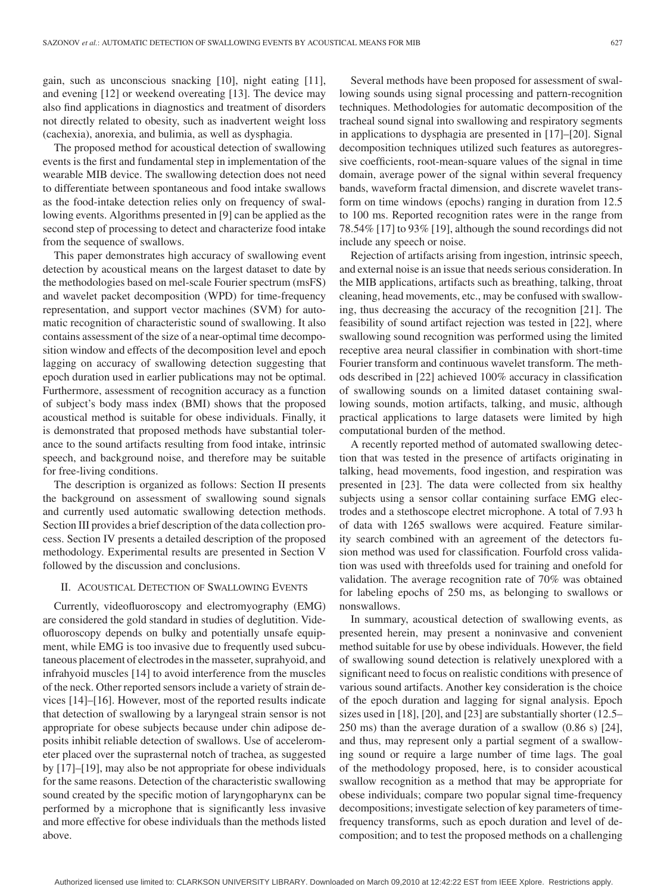gain, such as unconscious snacking [10], night eating [11], and evening [12] or weekend overeating [13]. The device may also find applications in diagnostics and treatment of disorders not directly related to obesity, such as inadvertent weight loss (cachexia), anorexia, and bulimia, as well as dysphagia.

The proposed method for acoustical detection of swallowing events is the first and fundamental step in implementation of the wearable MIB device. The swallowing detection does not need to differentiate between spontaneous and food intake swallows as the food-intake detection relies only on frequency of swallowing events. Algorithms presented in [9] can be applied as the second step of processing to detect and characterize food intake from the sequence of swallows.

This paper demonstrates high accuracy of swallowing event detection by acoustical means on the largest dataset to date by the methodologies based on mel-scale Fourier spectrum (msFS) and wavelet packet decomposition (WPD) for time-frequency representation, and support vector machines (SVM) for automatic recognition of characteristic sound of swallowing. It also contains assessment of the size of a near-optimal time decomposition window and effects of the decomposition level and epoch lagging on accuracy of swallowing detection suggesting that epoch duration used in earlier publications may not be optimal. Furthermore, assessment of recognition accuracy as a function of subject's body mass index (BMI) shows that the proposed acoustical method is suitable for obese individuals. Finally, it is demonstrated that proposed methods have substantial tolerance to the sound artifacts resulting from food intake, intrinsic speech, and background noise, and therefore may be suitable for free-living conditions.

The description is organized as follows: Section II presents the background on assessment of swallowing sound signals and currently used automatic swallowing detection methods. Section III provides a brief description of the data collection process. Section IV presents a detailed description of the proposed methodology. Experimental results are presented in Section V followed by the discussion and conclusions.

# II. ACOUSTICAL DETECTION OF SWALLOWING EVENTS

Currently, videofluoroscopy and electromyography (EMG) are considered the gold standard in studies of deglutition. Videofluoroscopy depends on bulky and potentially unsafe equipment, while EMG is too invasive due to frequently used subcutaneous placement of electrodes in the masseter, suprahyoid, and infrahyoid muscles [14] to avoid interference from the muscles of the neck. Other reported sensors include a variety of strain devices [14]–[16]. However, most of the reported results indicate that detection of swallowing by a laryngeal strain sensor is not appropriate for obese subjects because under chin adipose deposits inhibit reliable detection of swallows. Use of accelerometer placed over the suprasternal notch of trachea, as suggested by [17]–[19], may also be not appropriate for obese individuals for the same reasons. Detection of the characteristic swallowing sound created by the specific motion of laryngopharynx can be performed by a microphone that is significantly less invasive and more effective for obese individuals than the methods listed above.

Several methods have been proposed for assessment of swallowing sounds using signal processing and pattern-recognition techniques. Methodologies for automatic decomposition of the tracheal sound signal into swallowing and respiratory segments in applications to dysphagia are presented in [17]–[20]. Signal decomposition techniques utilized such features as autoregressive coefficients, root-mean-square values of the signal in time domain, average power of the signal within several frequency bands, waveform fractal dimension, and discrete wavelet transform on time windows (epochs) ranging in duration from 12.5 to 100 ms. Reported recognition rates were in the range from 78.54% [17] to 93% [19], although the sound recordings did not include any speech or noise.

Rejection of artifacts arising from ingestion, intrinsic speech, and external noise is an issue that needs serious consideration. In the MIB applications, artifacts such as breathing, talking, throat cleaning, head movements, etc., may be confused with swallowing, thus decreasing the accuracy of the recognition [21]. The feasibility of sound artifact rejection was tested in [22], where swallowing sound recognition was performed using the limited receptive area neural classifier in combination with short-time Fourier transform and continuous wavelet transform. The methods described in [22] achieved 100% accuracy in classification of swallowing sounds on a limited dataset containing swallowing sounds, motion artifacts, talking, and music, although practical applications to large datasets were limited by high computational burden of the method.

A recently reported method of automated swallowing detection that was tested in the presence of artifacts originating in talking, head movements, food ingestion, and respiration was presented in [23]. The data were collected from six healthy subjects using a sensor collar containing surface EMG electrodes and a stethoscope electret microphone. A total of 7.93 h of data with 1265 swallows were acquired. Feature similarity search combined with an agreement of the detectors fusion method was used for classification. Fourfold cross validation was used with threefolds used for training and onefold for validation. The average recognition rate of 70% was obtained for labeling epochs of 250 ms, as belonging to swallows or nonswallows.

In summary, acoustical detection of swallowing events, as presented herein, may present a noninvasive and convenient method suitable for use by obese individuals. However, the field of swallowing sound detection is relatively unexplored with a significant need to focus on realistic conditions with presence of various sound artifacts. Another key consideration is the choice of the epoch duration and lagging for signal analysis. Epoch sizes used in [18], [20], and [23] are substantially shorter (12.5– 250 ms) than the average duration of a swallow (0.86 s) [24], and thus, may represent only a partial segment of a swallowing sound or require a large number of time lags. The goal of the methodology proposed, here, is to consider acoustical swallow recognition as a method that may be appropriate for obese individuals; compare two popular signal time-frequency decompositions; investigate selection of key parameters of timefrequency transforms, such as epoch duration and level of decomposition; and to test the proposed methods on a challenging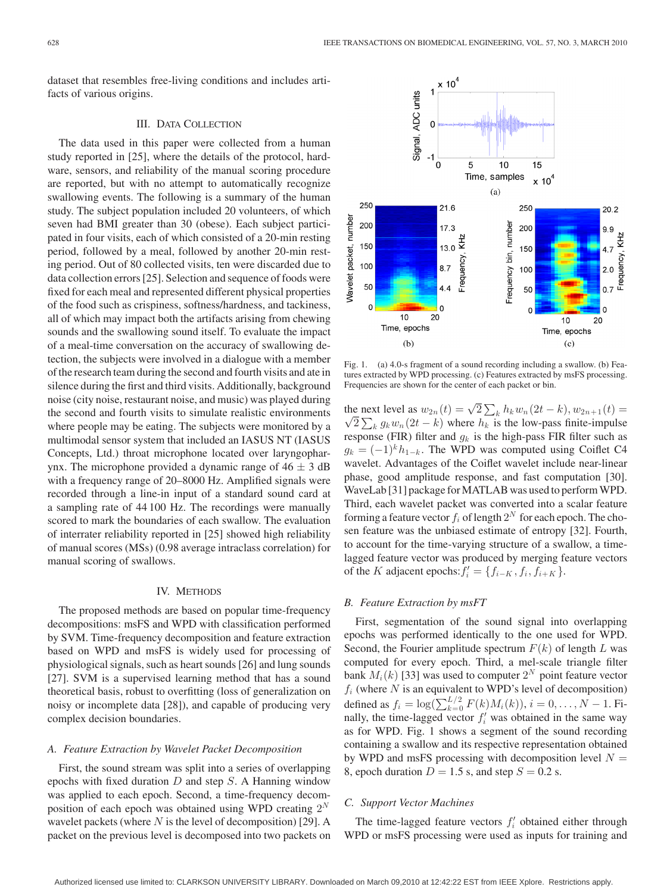dataset that resembles free-living conditions and includes artifacts of various origins.

# III. DATA COLLECTION

The data used in this paper were collected from a human study reported in [25], where the details of the protocol, hardware, sensors, and reliability of the manual scoring procedure are reported, but with no attempt to automatically recognize swallowing events. The following is a summary of the human study. The subject population included 20 volunteers, of which seven had BMI greater than 30 (obese). Each subject participated in four visits, each of which consisted of a 20-min resting period, followed by a meal, followed by another 20-min resting period. Out of 80 collected visits, ten were discarded due to data collection errors [25]. Selection and sequence of foods were fixed for each meal and represented different physical properties of the food such as crispiness, softness/hardness, and tackiness, all of which may impact both the artifacts arising from chewing sounds and the swallowing sound itself. To evaluate the impact of a meal-time conversation on the accuracy of swallowing detection, the subjects were involved in a dialogue with a member of the research team during the second and fourth visits and ate in silence during the first and third visits. Additionally, background noise (city noise, restaurant noise, and music) was played during the second and fourth visits to simulate realistic environments where people may be eating. The subjects were monitored by a multimodal sensor system that included an IASUS NT (IASUS Concepts, Ltd.) throat microphone located over laryngopharynx. The microphone provided a dynamic range of  $46 \pm 3$  dB with a frequency range of 20–8000 Hz. Amplified signals were recorded through a line-in input of a standard sound card at a sampling rate of 44 100 Hz. The recordings were manually scored to mark the boundaries of each swallow. The evaluation of interrater reliability reported in [25] showed high reliability of manual scores (MSs) (0.98 average intraclass correlation) for manual scoring of swallows.

## IV. METHODS

The proposed methods are based on popular time-frequency decompositions: msFS and WPD with classification performed by SVM. Time-frequency decomposition and feature extraction based on WPD and msFS is widely used for processing of physiological signals, such as heart sounds [26] and lung sounds [27]. SVM is a supervised learning method that has a sound theoretical basis, robust to overfitting (loss of generalization on noisy or incomplete data [28]), and capable of producing very complex decision boundaries.

# *A. Feature Extraction by Wavelet Packet Decomposition*

First, the sound stream was split into a series of overlapping epochs with fixed duration  $D$  and step  $S$ . A Hanning window was applied to each epoch. Second, a time-frequency decomposition of each epoch was obtained using WPD creating  $2^N$ wavelet packets (where  $N$  is the level of decomposition) [29]. A packet on the previous level is decomposed into two packets on



Fig. 1. (a) 4.0-s fragment of a sound recording including a swallow. (b) Features extracted by WPD processing. (c) Features extracted by msFS processing. Frequencies are shown for the center of each packet or bin.

the next level as  $w_{2n}(t) = \sqrt{2} \sum_{k} h_k w_n(2t - k), w_{2n+1}(t) = \sqrt{2} \sum_{k} \sum_{k} h_k w_n(2t - k)$  $2\sum_{k} g_{k}w_{n}(2t-k)$  where  $h_{k}$  is the low-pass finite-impulse response (FIR) filter and  $q_k$  is the high-pass FIR filter such as  $g_k = (-1)^k h_{1-k}$ . The WPD was computed using Coiflet C4 wavelet. Advantages of the Coiflet wavelet include near-linear phase, good amplitude response, and fast computation [30]. WaveLab [31] package for MATLAB was used to perform WPD. Third, each wavelet packet was converted into a scalar feature forming a feature vector  $f_i$  of length  $2^N$  for each epoch. The chosen feature was the unbiased estimate of entropy [32]. Fourth, to account for the time-varying structure of a swallow, a timelagged feature vector was produced by merging feature vectors of the K adjacent epochs:  $f_i' = \{f_{i-K}, f_i, f_{i+K}\}.$ 

## *B. Feature Extraction by msFT*

First, segmentation of the sound signal into overlapping epochs was performed identically to the one used for WPD. Second, the Fourier amplitude spectrum  $F(k)$  of length L was computed for every epoch. Third, a mel-scale triangle filter bank  $M_i(k)$  [33] was used to computer  $2^N$  point feature vector  $f_i$  (where N is an equivalent to WPD's level of decomposition) defined as  $f_i = \log(\sum_{k=0}^{L/2} F(k)M_i(k)), i = 0, ..., N - 1$ . Finally, the time-lagged vector  $f_i'$  was obtained in the same way as for WPD. Fig. 1 shows a segment of the sound recording containing a swallow and its respective representation obtained by WPD and msFS processing with decomposition level  $N =$ 8, epoch duration  $D = 1.5$  s, and step  $S = 0.2$  s.

# *C. Support Vector Machines*

The time-lagged feature vectors  $f_i'$  obtained either through WPD or msFS processing were used as inputs for training and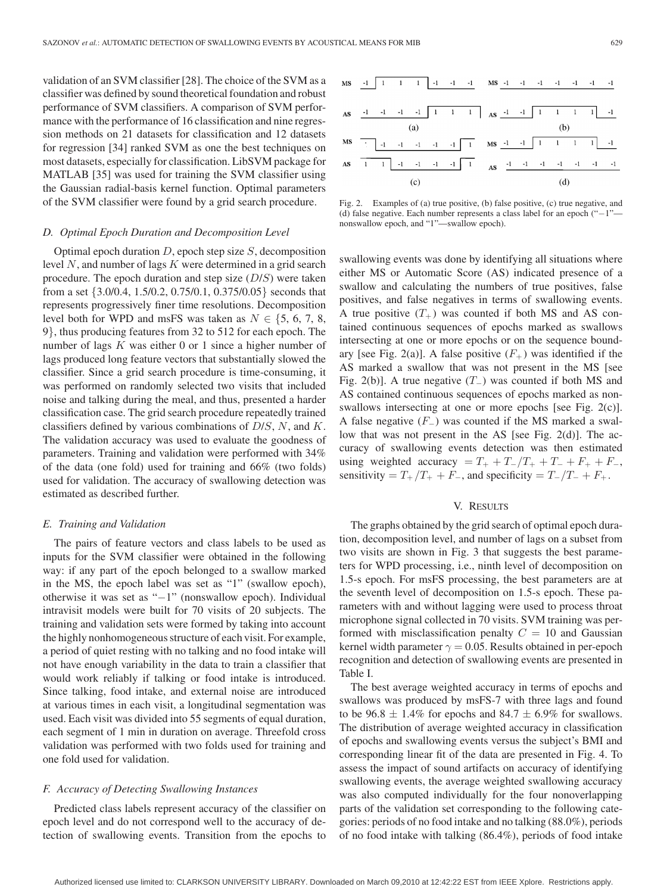validation of an SVM classifier [28]. The choice of the SVM as a classifier was defined by sound theoretical foundation and robust performance of SVM classifiers. A comparison of SVM performance with the performance of 16 classification and nine regression methods on 21 datasets for classification and 12 datasets for regression [34] ranked SVM as one the best techniques on most datasets, especially for classification. LibSVM package for MATLAB [35] was used for training the SVM classifier using the Gaussian radial-basis kernel function. Optimal parameters of the SVM classifier were found by a grid search procedure.

#### *D. Optimal Epoch Duration and Decomposition Level*

Optimal epoch duration  $D$ , epoch step size  $S$ , decomposition level  $N$ , and number of lags  $K$  were determined in a grid search procedure. The epoch duration and step size  $(D/S)$  were taken from a set {3.0/0.4, 1.5/0.2, 0.75/0.1, 0.375/0.05} seconds that represents progressively finer time resolutions. Decomposition level both for WPD and msFS was taken as  $N \in \{5, 6, 7, 8,$ 9}, thus producing features from 32 to 512 for each epoch. The number of lags  $K$  was either 0 or 1 since a higher number of lags produced long feature vectors that substantially slowed the classifier. Since a grid search procedure is time-consuming, it was performed on randomly selected two visits that included noise and talking during the meal, and thus, presented a harder classification case. The grid search procedure repeatedly trained classifiers defined by various combinations of  $D/S$ , N, and K. The validation accuracy was used to evaluate the goodness of parameters. Training and validation were performed with 34% of the data (one fold) used for training and 66% (two folds) used for validation. The accuracy of swallowing detection was estimated as described further.

# *E. Training and Validation*

The pairs of feature vectors and class labels to be used as inputs for the SVM classifier were obtained in the following way: if any part of the epoch belonged to a swallow marked in the MS, the epoch label was set as "1" (swallow epoch), otherwise it was set as "−1" (nonswallow epoch). Individual intravisit models were built for 70 visits of 20 subjects. The training and validation sets were formed by taking into account the highly nonhomogeneous structure of each visit. For example, a period of quiet resting with no talking and no food intake will not have enough variability in the data to train a classifier that would work reliably if talking or food intake is introduced. Since talking, food intake, and external noise are introduced at various times in each visit, a longitudinal segmentation was used. Each visit was divided into 55 segments of equal duration, each segment of 1 min in duration on average. Threefold cross validation was performed with two folds used for training and one fold used for validation.

# *F. Accuracy of Detecting Swallowing Instances*

Predicted class labels represent accuracy of the classifier on epoch level and do not correspond well to the accuracy of detection of swallowing events. Transition from the epochs to



Fig. 2. Examples of (a) true positive, (b) false positive, (c) true negative, and (d) false negative. Each number represents a class label for an epoch ("−1" nonswallow epoch, and "1"—swallow epoch).

swallowing events was done by identifying all situations where either MS or Automatic Score (AS) indicated presence of a swallow and calculating the numbers of true positives, false positives, and false negatives in terms of swallowing events. A true positive  $(T_+)$  was counted if both MS and AS contained continuous sequences of epochs marked as swallows intersecting at one or more epochs or on the sequence boundary [see Fig. 2(a)]. A false positive  $(F_{+})$  was identified if the AS marked a swallow that was not present in the MS [see Fig. 2(b)]. A true negative  $(T_+)$  was counted if both MS and AS contained continuous sequences of epochs marked as nonswallows intersecting at one or more epochs [see Fig. 2(c)]. A false negative  $(F_+)$  was counted if the MS marked a swallow that was not present in the AS [see Fig. 2(d)]. The accuracy of swallowing events detection was then estimated using weighted accuracy =  $T_+ + T_-/T_+ + T_- + F_+ + F_-$ , sensitivity =  $T_{+}/T_{+} + F_{-}$ , and specificity =  $T_{-}/T_{-} + F_{+}$ .

## V. RESULTS

The graphs obtained by the grid search of optimal epoch duration, decomposition level, and number of lags on a subset from two visits are shown in Fig. 3 that suggests the best parameters for WPD processing, i.e., ninth level of decomposition on 1.5-s epoch. For msFS processing, the best parameters are at the seventh level of decomposition on 1.5-s epoch. These parameters with and without lagging were used to process throat microphone signal collected in 70 visits. SVM training was performed with misclassification penalty  $C = 10$  and Gaussian kernel width parameter  $\gamma = 0.05$ . Results obtained in per-epoch recognition and detection of swallowing events are presented in Table I.

The best average weighted accuracy in terms of epochs and swallows was produced by msFS-7 with three lags and found to be  $96.8 \pm 1.4\%$  for epochs and  $84.7 \pm 6.9\%$  for swallows. The distribution of average weighted accuracy in classification of epochs and swallowing events versus the subject's BMI and corresponding linear fit of the data are presented in Fig. 4. To assess the impact of sound artifacts on accuracy of identifying swallowing events, the average weighted swallowing accuracy was also computed individually for the four nonoverlapping parts of the validation set corresponding to the following categories: periods of no food intake and no talking (88.0%), periods of no food intake with talking (86.4%), periods of food intake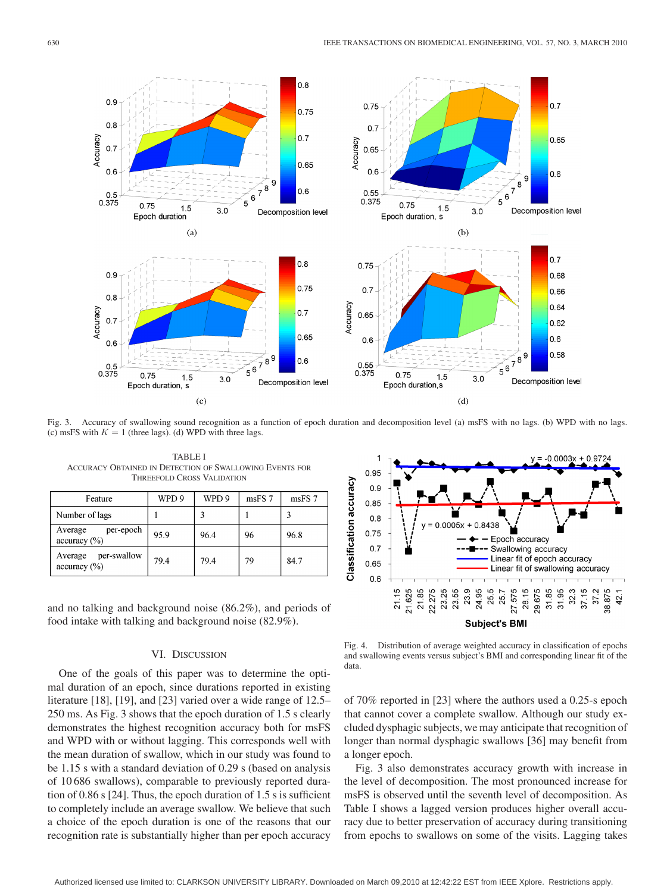

Fig. 3. Accuracy of swallowing sound recognition as a function of epoch duration and decomposition level (a) msFS with no lags. (b) WPD with no lags. (c) msFS with  $K = 1$  (three lags). (d) WPD with three lags.

TABLE I ACCURACY OBTAINED IN DETECTION OF SWALLOWING EVENTS FOR THREEFOLD CROSS VALIDATION

| Feature                                | WPD 9 | WPD 9 | msFS 7 | msFS 7 |
|----------------------------------------|-------|-------|--------|--------|
| Number of lags                         |       |       |        |        |
| per-epoch<br>Average<br>accuracy (%)   | 95.9  | 96.4  | 96     | 96.8   |
| per-swallow<br>Average<br>accuracy (%) | 79.4  | 79.4  | 79     | 84.7   |

and no talking and background noise (86.2%), and periods of food intake with talking and background noise (82.9%).

# VI. DISCUSSION

One of the goals of this paper was to determine the optimal duration of an epoch, since durations reported in existing literature [18], [19], and [23] varied over a wide range of 12.5– 250 ms. As Fig. 3 shows that the epoch duration of 1.5 s clearly demonstrates the highest recognition accuracy both for msFS and WPD with or without lagging. This corresponds well with the mean duration of swallow, which in our study was found to be 1.15 s with a standard deviation of 0.29 s (based on analysis of 10 686 swallows), comparable to previously reported duration of 0.86 s [24]. Thus, the epoch duration of 1.5 s is sufficient to completely include an average swallow. We believe that such a choice of the epoch duration is one of the reasons that our recognition rate is substantially higher than per epoch accuracy



Fig. 4. Distribution of average weighted accuracy in classification of epochs and swallowing events versus subject's BMI and corresponding linear fit of the data

of 70% reported in [23] where the authors used a 0.25-s epoch that cannot cover a complete swallow. Although our study excluded dysphagic subjects, we may anticipate that recognition of longer than normal dysphagic swallows [36] may benefit from a longer epoch.

Fig. 3 also demonstrates accuracy growth with increase in the level of decomposition. The most pronounced increase for msFS is observed until the seventh level of decomposition. As Table I shows a lagged version produces higher overall accuracy due to better preservation of accuracy during transitioning from epochs to swallows on some of the visits. Lagging takes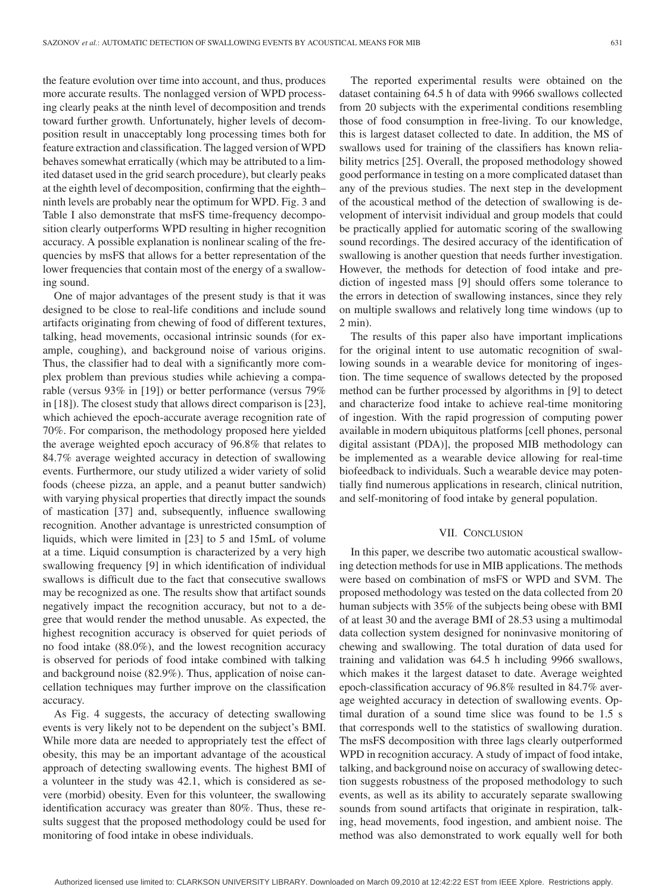the feature evolution over time into account, and thus, produces more accurate results. The nonlagged version of WPD processing clearly peaks at the ninth level of decomposition and trends toward further growth. Unfortunately, higher levels of decomposition result in unacceptably long processing times both for feature extraction and classification. The lagged version of WPD behaves somewhat erratically (which may be attributed to a limited dataset used in the grid search procedure), but clearly peaks at the eighth level of decomposition, confirming that the eighth– ninth levels are probably near the optimum for WPD. Fig. 3 and Table I also demonstrate that msFS time-frequency decomposition clearly outperforms WPD resulting in higher recognition accuracy. A possible explanation is nonlinear scaling of the frequencies by msFS that allows for a better representation of the lower frequencies that contain most of the energy of a swallowing sound.

One of major advantages of the present study is that it was designed to be close to real-life conditions and include sound artifacts originating from chewing of food of different textures, talking, head movements, occasional intrinsic sounds (for example, coughing), and background noise of various origins. Thus, the classifier had to deal with a significantly more complex problem than previous studies while achieving a comparable (versus 93% in [19]) or better performance (versus 79% in [18]). The closest study that allows direct comparison is [23], which achieved the epoch-accurate average recognition rate of 70%. For comparison, the methodology proposed here yielded the average weighted epoch accuracy of 96.8% that relates to 84.7% average weighted accuracy in detection of swallowing events. Furthermore, our study utilized a wider variety of solid foods (cheese pizza, an apple, and a peanut butter sandwich) with varying physical properties that directly impact the sounds of mastication [37] and, subsequently, influence swallowing recognition. Another advantage is unrestricted consumption of liquids, which were limited in [23] to 5 and 15mL of volume at a time. Liquid consumption is characterized by a very high swallowing frequency [9] in which identification of individual swallows is difficult due to the fact that consecutive swallows may be recognized as one. The results show that artifact sounds negatively impact the recognition accuracy, but not to a degree that would render the method unusable. As expected, the highest recognition accuracy is observed for quiet periods of no food intake (88.0%), and the lowest recognition accuracy is observed for periods of food intake combined with talking and background noise (82.9%). Thus, application of noise cancellation techniques may further improve on the classification accuracy.

As Fig. 4 suggests, the accuracy of detecting swallowing events is very likely not to be dependent on the subject's BMI. While more data are needed to appropriately test the effect of obesity, this may be an important advantage of the acoustical approach of detecting swallowing events. The highest BMI of a volunteer in the study was 42.1, which is considered as severe (morbid) obesity. Even for this volunteer, the swallowing identification accuracy was greater than 80%. Thus, these results suggest that the proposed methodology could be used for monitoring of food intake in obese individuals.

The reported experimental results were obtained on the dataset containing 64.5 h of data with 9966 swallows collected from 20 subjects with the experimental conditions resembling those of food consumption in free-living. To our knowledge, this is largest dataset collected to date. In addition, the MS of swallows used for training of the classifiers has known reliability metrics [25]. Overall, the proposed methodology showed good performance in testing on a more complicated dataset than any of the previous studies. The next step in the development of the acoustical method of the detection of swallowing is development of intervisit individual and group models that could be practically applied for automatic scoring of the swallowing sound recordings. The desired accuracy of the identification of swallowing is another question that needs further investigation. However, the methods for detection of food intake and prediction of ingested mass [9] should offers some tolerance to the errors in detection of swallowing instances, since they rely on multiple swallows and relatively long time windows (up to 2 min).

The results of this paper also have important implications for the original intent to use automatic recognition of swallowing sounds in a wearable device for monitoring of ingestion. The time sequence of swallows detected by the proposed method can be further processed by algorithms in [9] to detect and characterize food intake to achieve real-time monitoring of ingestion. With the rapid progression of computing power available in modern ubiquitous platforms [cell phones, personal digital assistant (PDA)], the proposed MIB methodology can be implemented as a wearable device allowing for real-time biofeedback to individuals. Such a wearable device may potentially find numerous applications in research, clinical nutrition, and self-monitoring of food intake by general population.

# VII. CONCLUSION

In this paper, we describe two automatic acoustical swallowing detection methods for use in MIB applications. The methods were based on combination of msFS or WPD and SVM. The proposed methodology was tested on the data collected from 20 human subjects with 35% of the subjects being obese with BMI of at least 30 and the average BMI of 28.53 using a multimodal data collection system designed for noninvasive monitoring of chewing and swallowing. The total duration of data used for training and validation was 64.5 h including 9966 swallows, which makes it the largest dataset to date. Average weighted epoch-classification accuracy of 96.8% resulted in 84.7% average weighted accuracy in detection of swallowing events. Optimal duration of a sound time slice was found to be 1.5 s that corresponds well to the statistics of swallowing duration. The msFS decomposition with three lags clearly outperformed WPD in recognition accuracy. A study of impact of food intake, talking, and background noise on accuracy of swallowing detection suggests robustness of the proposed methodology to such events, as well as its ability to accurately separate swallowing sounds from sound artifacts that originate in respiration, talking, head movements, food ingestion, and ambient noise. The method was also demonstrated to work equally well for both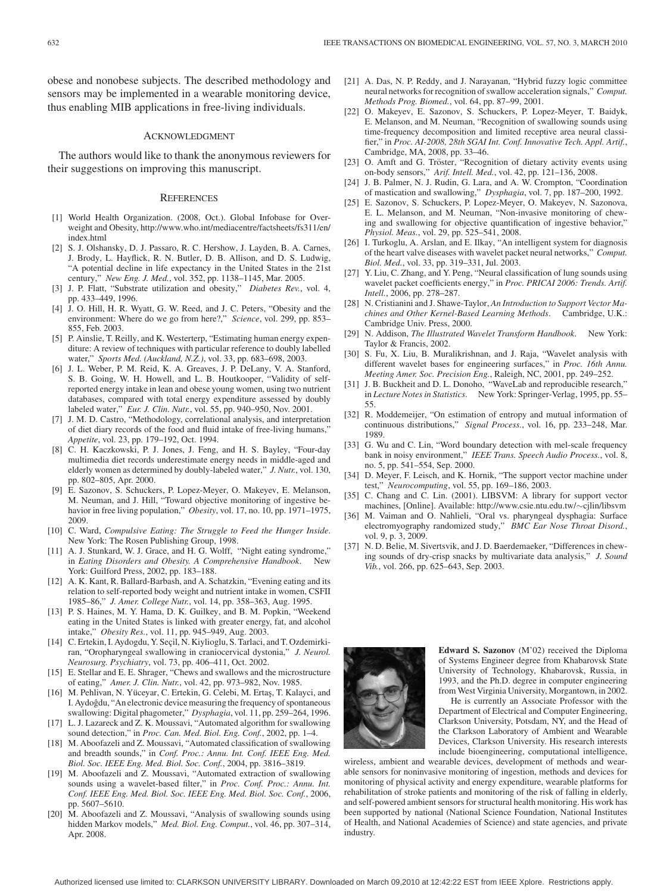obese and nonobese subjects. The described methodology and sensors may be implemented in a wearable monitoring device, thus enabling MIB applications in free-living individuals.

## ACKNOWLEDGMENT

The authors would like to thank the anonymous reviewers for their suggestions on improving this manuscript.

#### **REFERENCES**

- [1] World Health Organization. (2008, Oct.). Global Infobase for Overweight and Obesity, http://www.who.int/mediacentre/factsheets/fs311/en/ index.html
- [2] S. J. Olshansky, D. J. Passaro, R. C. Hershow, J. Layden, B. A. Carnes, J. Brody, L. Hayflick, R. N. Butler, D. B. Allison, and D. S. Ludwig, "A potential decline in life expectancy in the United States in the 21st century," *New Eng. J. Med.*, vol. 352, pp. 1138–1145, Mar. 2005.
- [3] J. P. Flatt, "Substrate utilization and obesity," *Diabetes Rev.*, vol. 4, pp. 433–449, 1996.
- [4] J. O. Hill, H. R. Wyatt, G. W. Reed, and J. C. Peters, "Obesity and the environment: Where do we go from here?," *Science*, vol. 299, pp. 853– 855, Feb. 2003.
- [5] P. Ainslie, T. Reilly, and K. Westerterp, "Estimating human energy expenditure: A review of techniques with particular reference to doubly labelled water," *Sports Med. (Auckland, N.Z.)*, vol. 33, pp. 683–698, 2003.
- [6] J. L. Weber, P. M. Reid, K. A. Greaves, J. P. DeLany, V. A. Stanford, S. B. Going, W. H. Howell, and L. B. Houtkooper, "Validity of selfreported energy intake in lean and obese young women, using two nutrient databases, compared with total energy expenditure assessed by doubly labeled water," *Eur. J. Clin. Nutr.*, vol. 55, pp. 940–950, Nov. 2001.
- [7] J. M. D. Castro, "Methodology, correlational analysis, and interpretation of diet diary records of the food and fluid intake of free-living humans," *Appetite*, vol. 23, pp. 179–192, Oct. 1994.
- [8] C. H. Kaczkowski, P. J. Jones, J. Feng, and H. S. Bayley, "Four-day multimedia diet records underestimate energy needs in middle-aged and elderly women as determined by doubly-labeled water," *J. Nutr.*, vol. 130, pp. 802–805, Apr. 2000.
- [9] E. Sazonov, S. Schuckers, P. Lopez-Meyer, O. Makeyev, E. Melanson, M. Neuman, and J. Hill, "Toward objective monitoring of ingestive behavior in free living population," *Obesity*, vol. 17, no. 10, pp. 1971–1975, 2009.
- [10] C. Ward, *Compulsive Eating: The Struggle to Feed the Hunger Inside*. New York: The Rosen Publishing Group, 1998.
- [11] A. J. Stunkard, W. J. Grace, and H. G. Wolff, "Night eating syndrome," in *Eating Disorders and Obesity. A Comprehensive Handbook*. New York: Guilford Press, 2002, pp. 183–188.
- [12] A. K. Kant, R. Ballard-Barbash, and A. Schatzkin, "Evening eating and its relation to self-reported body weight and nutrient intake in women, CSFII 1985–86," *J. Amer. College Nutr.*, vol. 14, pp. 358–363, Aug. 1995.
- [13] P. S. Haines, M. Y. Hama, D. K. Guilkey, and B. M. Popkin, "Weekend eating in the United States is linked with greater energy, fat, and alcohol intake," *Obesity Res.*, vol. 11, pp. 945–949, Aug. 2003.
- [14] C. Ertekin, I. Aydogdu, Y. Seçil, N. Kiylioglu, S. Tarlaci, and T. Ozdemirkiran, "Oropharyngeal swallowing in craniocervical dystonia," *J. Neurol. Neurosurg. Psychiatry*, vol. 73, pp. 406–411, Oct. 2002.
- [15] E. Stellar and E. E. Shrager, "Chews and swallows and the microstructure of eating," *Amer. J. Clin. Nutr.*, vol. 42, pp. 973–982, Nov. 1985.
- [16] M. Pehlivan, N. Yüceyar, C. Ertekin, G. Celebi, M. Ertaş, T. Kalayci, and I. Aydogdu, "An electronic device measuring the frequency of spontaneous ˆ swallowing: Digital phagometer," *Dysphagia*, vol. 11, pp. 259–264, 1996.
- [17] L. J. Lazareck and Z. K. Moussavi, "Automated algorithm for swallowing sound detection," in *Proc. Can. Med. Biol. Eng. Conf.*, 2002, pp. 1–4.
- [18] M. Aboofazeli and Z. Moussavi, "Automated classification of swallowing and breadth sounds," in *Conf. Proc.: Annu. Int. Conf. IEEE Eng. Med. Biol. Soc. IEEE Eng. Med. Biol. Soc. Conf.*, 2004, pp. 3816–3819.
- [19] M. Aboofazeli and Z. Moussavi, "Automated extraction of swallowing sounds using a wavelet-based filter," in *Proc. Conf. Proc.: Annu. Int. Conf. IEEE Eng. Med. Biol. Soc. IEEE Eng. Med. Biol. Soc. Conf.*, 2006, pp. 5607–5610.
- [20] M. Aboofazeli and Z. Moussavi, "Analysis of swallowing sounds using hidden Markov models," *Med. Biol. Eng. Comput.*, vol. 46, pp. 307–314, Apr. 2008.
- [21] A. Das, N. P. Reddy, and J. Narayanan, "Hybrid fuzzy logic committee neural networks for recognition of swallow acceleration signals," *Comput. Methods Prog. Biomed.*, vol. 64, pp. 87–99, 2001.
- [22] O. Makeyev, E. Sazonov, S. Schuckers, P. Lopez-Meyer, T. Baidyk, E. Melanson, and M. Neuman, "Recognition of swallowing sounds using time-frequency decomposition and limited receptive area neural classifier," in *Proc. AI-2008, 28th SGAI Int. Conf. Innovative Tech. Appl. Artif.*, Cambridge, MA, 2008, pp. 33–46.
- [23] O. Amft and G. Tröster, "Recognition of dietary activity events using on-body sensors," *Arif. Intell. Med.*, vol. 42, pp. 121–136, 2008.
- [24] J. B. Palmer, N. J. Rudin, G. Lara, and A. W. Crompton, "Coordination of mastication and swallowing," *Dysphagia*, vol. 7, pp. 187–200, 1992.
- [25] E. Sazonov, S. Schuckers, P. Lopez-Meyer, O. Makeyev, N. Sazonova, E. L. Melanson, and M. Neuman, "Non-invasive monitoring of chewing and swallowing for objective quantification of ingestive behavior," *Physiol. Meas.*, vol. 29, pp. 525–541, 2008.
- [26] I. Turkoglu, A. Arslan, and E. Ilkay, "An intelligent system for diagnosis of the heart valve diseases with wavelet packet neural networks," *Comput. Biol. Med.*, vol. 33, pp. 319–331, Jul. 2003.
- [27] Y. Liu, C. Zhang, and Y. Peng, "Neural classification of lung sounds using wavelet packet coefficients energy," in *Proc. PRICAI 2006: Trends. Artif. Intell.*, 2006, pp. 278–287.
- [28] N. Cristianini and J. Shawe-Taylor, *An Introduction to Support Vector Machines and Other Kernel-Based Learning Methods*. Cambridge, U.K.: Cambridge Univ. Press, 2000.
- [29] N. Addison, *The Illustrated Wavelet Transform Handbook*. New York: Taylor & Francis, 2002.
- [30] S. Fu, X. Liu, B. Muralikrishnan, and J. Raja, "Wavelet analysis with different wavelet bases for engineering surfaces," in *Proc. 16th Annu. Meeting Amer. Soc. Precision Eng.*, Raleigh, NC, 2001, pp. 249–252.
- [31] J. B. Buckheit and D. L. Donoho, "WaveLab and reproducible research," in *Lecture Notes in Statistics*. New York: Springer-Verlag, 1995, pp. 55– 55.
- [32] R. Moddemeijer, "On estimation of entropy and mutual information of continuous distributions," *Signal Process.*, vol. 16, pp. 233–248, Mar. 1989.
- [33] G. Wu and C. Lin, "Word boundary detection with mel-scale frequency bank in noisy environment," *IEEE Trans. Speech Audio Process.*, vol. 8, no. 5, pp. 541–554, Sep. 2000.
- [34] D. Meyer, F. Leisch, and K. Hornik, "The support vector machine under test," *Neurocomputing*, vol. 55, pp. 169–186, 2003.
- [35] C. Chang and C. Lin. (2001). LIBSVM: A library for support vector machines, [Online]. Available: http://www.csie.ntu.edu.tw/∼cjlin/libsvm
- [36] M. Vaiman and O. Nahlieli, "Oral vs. pharyngeal dysphagia: Surface electromyography randomized study," *BMC Ear Nose Throat Disord.*, vol. 9, p. 3, 2009.
- [37] N. D. Belie, M. Sivertsvik, and J. D. Baerdemaeker, "Differences in chewing sounds of dry-crisp snacks by multivariate data analysis," *J. Sound Vib.*, vol. 266, pp. 625–643, Sep. 2003.



**Edward S. Sazonov** (M'02) received the Diploma of Systems Engineer degree from Khabarovsk State University of Technology, Khabarovsk, Russia, in 1993, and the Ph.D. degree in computer engineering from West Virginia University, Morgantown, in 2002.

He is currently an Associate Professor with the Department of Electrical and Computer Engineering, Clarkson University, Potsdam, NY, and the Head of the Clarkson Laboratory of Ambient and Wearable Devices, Clarkson University. His research interests include bioengineering, computational intelligence,

wireless, ambient and wearable devices, development of methods and wearable sensors for noninvasive monitoring of ingestion, methods and devices for monitoring of physical activity and energy expenditure, wearable platforms for rehabilitation of stroke patients and monitoring of the risk of falling in elderly, and self-powered ambient sensors for structural health monitoring. His work has been supported by national (National Science Foundation, National Institutes of Health, and National Academies of Science) and state agencies, and private industry.